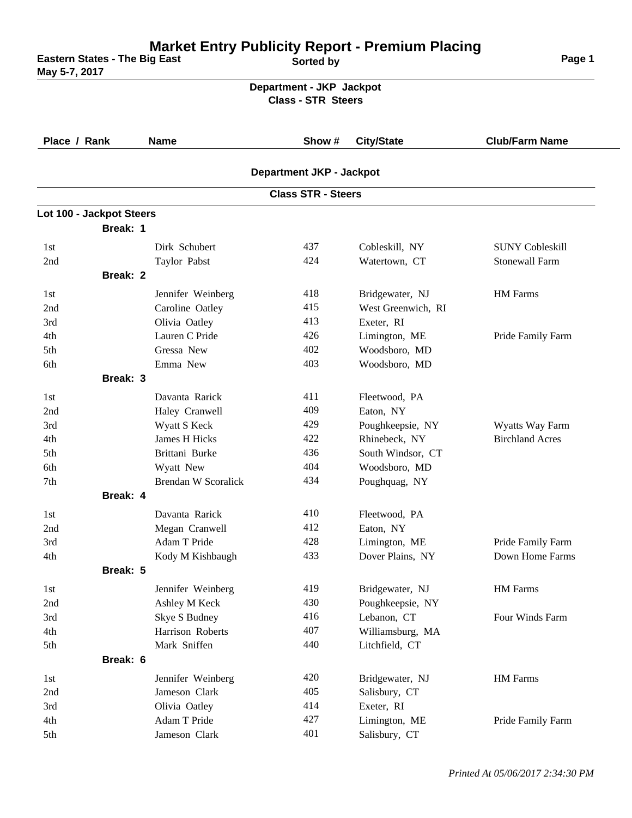**Department - JKP Jackpot Class - STR Steers**

**Page 1**

## **May 5-7, 2017**

| Place / Rank                    | <b>Name</b>                | Show # | <b>City/State</b>  | <b>Club/Farm Name</b>  |  |  |  |
|---------------------------------|----------------------------|--------|--------------------|------------------------|--|--|--|
| <b>Department JKP - Jackpot</b> |                            |        |                    |                        |  |  |  |
| <b>Class STR - Steers</b>       |                            |        |                    |                        |  |  |  |
| Lot 100 - Jackpot Steers        |                            |        |                    |                        |  |  |  |
| Break: 1                        |                            |        |                    |                        |  |  |  |
| 1st                             | Dirk Schubert              | 437    | Cobleskill, NY     | <b>SUNY Cobleskill</b> |  |  |  |
| 2nd                             | Taylor Pabst               | 424    | Watertown, CT      | <b>Stonewall Farm</b>  |  |  |  |
| Break: 2                        |                            |        |                    |                        |  |  |  |
| 1st                             | Jennifer Weinberg          | 418    | Bridgewater, NJ    | <b>HM</b> Farms        |  |  |  |
| 2nd                             | Caroline Oatley            | 415    | West Greenwich, RI |                        |  |  |  |
| 3rd                             | Olivia Oatley              | 413    | Exeter, RI         |                        |  |  |  |
| 4th                             | Lauren C Pride             | 426    | Limington, ME      | Pride Family Farm      |  |  |  |
| 5th                             | Gressa New                 | 402    | Woodsboro, MD      |                        |  |  |  |
| 6th                             | Emma New                   | 403    | Woodsboro, MD      |                        |  |  |  |
| Break: 3                        |                            |        |                    |                        |  |  |  |
| 1st                             | Davanta Rarick             | 411    | Fleetwood, PA      |                        |  |  |  |
| 2nd                             | Haley Cranwell             | 409    | Eaton, NY          |                        |  |  |  |
| 3rd                             | Wyatt S Keck               | 429    | Poughkeepsie, NY   | Wyatts Way Farm        |  |  |  |
| 4th                             | <b>James H Hicks</b>       | 422    | Rhinebeck, NY      | <b>Birchland Acres</b> |  |  |  |
| 5th                             | Brittani Burke             | 436    | South Windsor, CT  |                        |  |  |  |
| 6th                             | Wyatt New                  | 404    | Woodsboro, MD      |                        |  |  |  |
| 7th                             | <b>Brendan W Scoralick</b> | 434    | Poughquag, NY      |                        |  |  |  |
| Break: 4                        |                            |        |                    |                        |  |  |  |
| 1st                             | Davanta Rarick             | 410    | Fleetwood, PA      |                        |  |  |  |
| 2nd                             | Megan Cranwell             | 412    | Eaton, NY          |                        |  |  |  |
| 3rd                             | Adam T Pride               | 428    | Limington, ME      | Pride Family Farm      |  |  |  |
| 4th                             | Kody M Kishbaugh           | 433    | Dover Plains, NY   | Down Home Farms        |  |  |  |
| Break: 5                        |                            |        |                    |                        |  |  |  |
| 1st                             | Jennifer Weinberg          | 419    | Bridgewater, NJ    | HM Farms               |  |  |  |
| 2nd                             | Ashley M Keck              | 430    | Poughkeepsie, NY   |                        |  |  |  |
| 3rd                             | Skye S Budney              | 416    | Lebanon, CT        | Four Winds Farm        |  |  |  |
| 4th                             | Harrison Roberts           | 407    | Williamsburg, MA   |                        |  |  |  |
| 5th                             | Mark Sniffen               | 440    | Litchfield, CT     |                        |  |  |  |
| Break: 6                        |                            |        |                    |                        |  |  |  |
| 1st                             | Jennifer Weinberg          | 420    | Bridgewater, NJ    | HM Farms               |  |  |  |
| 2nd                             | Jameson Clark              | 405    | Salisbury, CT      |                        |  |  |  |
| 3rd                             | Olivia Oatley              | 414    | Exeter, RI         |                        |  |  |  |
| 4th                             | Adam T Pride               | 427    | Limington, ME      | Pride Family Farm      |  |  |  |
| 5th                             | Jameson Clark              | 401    | Salisbury, CT      |                        |  |  |  |